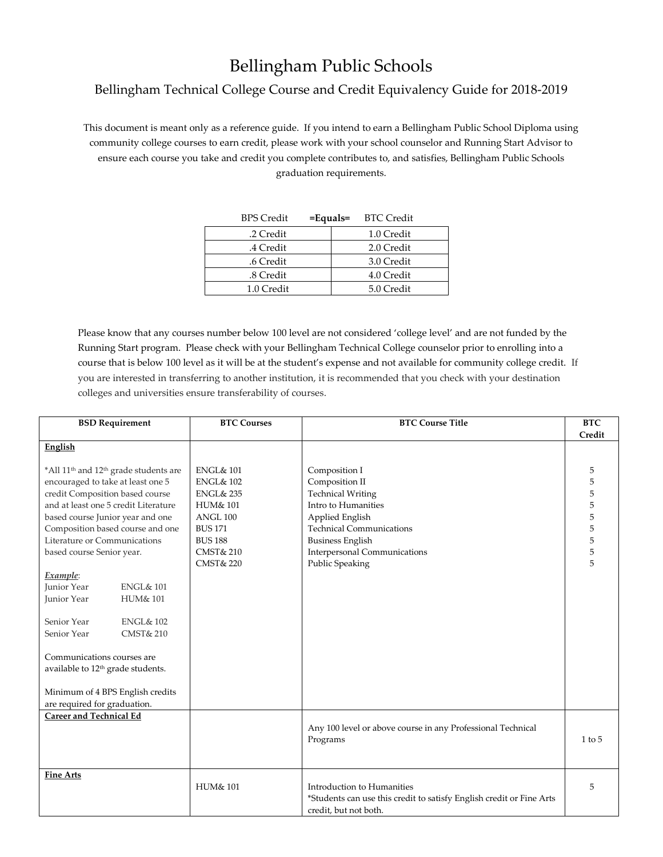## Bellingham Public Schools

## Bellingham Technical College Course and Credit Equivalency Guide for 2018-2019

This document is meant only as a reference guide. If you intend to earn a Bellingham Public School Diploma using community college courses to earn credit, please work with your school counselor and Running Start Advisor to ensure each course you take and credit you complete contributes to, and satisfies, Bellingham Public Schools graduation requirements.

| <b>BPS</b> Credit | $=$ Equals $=$ BTC Credit |  |
|-------------------|---------------------------|--|
| .2 Credit         | 1.0 Credit                |  |
| .4 Credit         | 2.0 Credit                |  |
| .6 Credit         | 3.0 Credit                |  |
| .8 Credit         | 4.0 Credit                |  |
| 1.0 Credit        | 5.0 Credit                |  |

Please know that any courses number below 100 level are not considered 'college level' and are not funded by the Running Start program. Please check with your Bellingham Technical College counselor prior to enrolling into a course that is below 100 level as it will be at the student's expense and not available for community college credit. If you are interested in transferring to another institution, it is recommended that you check with your destination colleges and universities ensure transferability of courses.

| <b>BSD Requirement</b>                                                                                                                                                                                            |                                              | <b>BTC Courses</b>                                                                                             | <b>BTC Course Title</b>                                                                                                     | <b>BTC</b> |
|-------------------------------------------------------------------------------------------------------------------------------------------------------------------------------------------------------------------|----------------------------------------------|----------------------------------------------------------------------------------------------------------------|-----------------------------------------------------------------------------------------------------------------------------|------------|
|                                                                                                                                                                                                                   |                                              |                                                                                                                |                                                                                                                             | Credit     |
| English                                                                                                                                                                                                           |                                              |                                                                                                                |                                                                                                                             |            |
| *All 11 <sup>th</sup> and 12 <sup>th</sup> grade students are<br>encouraged to take at least one 5<br>credit Composition based course<br>and at least one 5 credit Literature<br>based course Junior year and one |                                              | <b>ENGL&amp; 101</b><br><b>ENGL&amp; 102</b><br><b>ENGL&amp; 235</b><br><b>HUM&amp; 101</b><br><b>ANGL 100</b> | Composition I<br>Composition II<br><b>Technical Writing</b><br>Intro to Humanities<br>Applied English                       | 5          |
| Composition based course and one                                                                                                                                                                                  |                                              | <b>BUS 171</b>                                                                                                 | <b>Technical Communications</b>                                                                                             |            |
| Literature or Communications<br>based course Senior year.<br>Example:                                                                                                                                             |                                              | <b>BUS 188</b><br><b>CMST&amp; 210</b><br><b>CMST&amp; 220</b>                                                 | <b>Business English</b><br>Interpersonal Communications<br>Public Speaking                                                  | 5          |
| <b>Junior Year</b>                                                                                                                                                                                                | <b>ENGL&amp; 101</b>                         |                                                                                                                |                                                                                                                             |            |
| Junior Year                                                                                                                                                                                                       | <b>HUM&amp; 101</b>                          |                                                                                                                |                                                                                                                             |            |
| Senior Year<br>Senior Year<br>Communications courses are<br>available to 12 <sup>th</sup> grade students.<br>Minimum of 4 BPS English credits<br>are required for graduation.                                     | <b>ENGL&amp; 102</b><br><b>CMST&amp; 210</b> |                                                                                                                |                                                                                                                             |            |
| <b>Career and Technical Ed</b>                                                                                                                                                                                    |                                              |                                                                                                                | Any 100 level or above course in any Professional Technical<br>Programs                                                     | $1$ to $5$ |
| <b>Fine Arts</b>                                                                                                                                                                                                  |                                              | <b>HUM&amp; 101</b>                                                                                            | Introduction to Humanities<br>*Students can use this credit to satisfy English credit or Fine Arts<br>credit, but not both. | 5          |